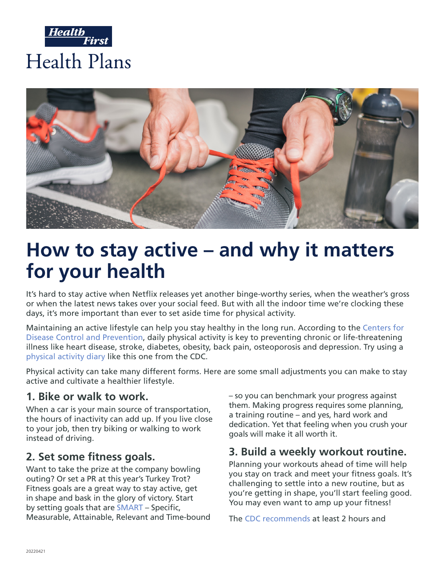



# **How to stay active – and why it matters for your health**

It's hard to stay active when Netflix releases yet another binge-worthy series, when the weather's gross or when the latest news takes over your social feed. But with all the indoor time we're clocking these days, it's more important than ever to set aside time for physical activity.

Maintaining an active lifestyle can help you stay healthy in the long run. According to the [Centers for](https://www.cdc.gov/physicalactivity/basics/pa-health/index.htm)  [Disease Control and Prevention,](https://www.cdc.gov/physicalactivity/basics/pa-health/index.htm) daily physical activity is key to preventing chronic or life-threatening illness like heart disease, stroke, diabetes, obesity, back pain, osteoporosis and depression. Try using a [physical activity diary](https://www.cdc.gov/healthyweight/pdf/physical_activity_diary_cdc.pdf) like this one from the CDC.

Physical activity can take many different forms. Here are some small adjustments you can make to stay active and cultivate a healthier lifestyle.

#### **1. Bike or walk to work.**

When a car is your main source of transportation, the hours of inactivity can add up. If you live close to your job, then try biking or walking to work instead of driving.

#### **2. Set some fitness goals.**

Want to take the prize at the company bowling outing? Or set a PR at this year's Turkey Trot? Fitness goals are a great way to stay active, get in shape and bask in the glory of victory. Start by setting goals that are [SMART](https://www.acefitness.org/education-and-resources/lifestyle/blog/6763/a-guide-for-s-m-a-r-t-goal-setting/) – Specific, Measurable, Attainable, Relevant and Time-bound – so you can benchmark your progress against them. Making progress requires some planning, a training routine – and yes, hard work and dedication. Yet that feeling when you crush your goals will make it all worth it.

#### **3. Build a weekly workout routine.**

Planning your workouts ahead of time will help you stay on track and meet your fitness goals. It's challenging to settle into a new routine, but as you're getting in shape, you'll start feeling good. You may even want to amp up your fitness!

The [CDC recommends](https://www.cdc.gov/healthyweight/physical_activity/index.html) at least 2 hours and